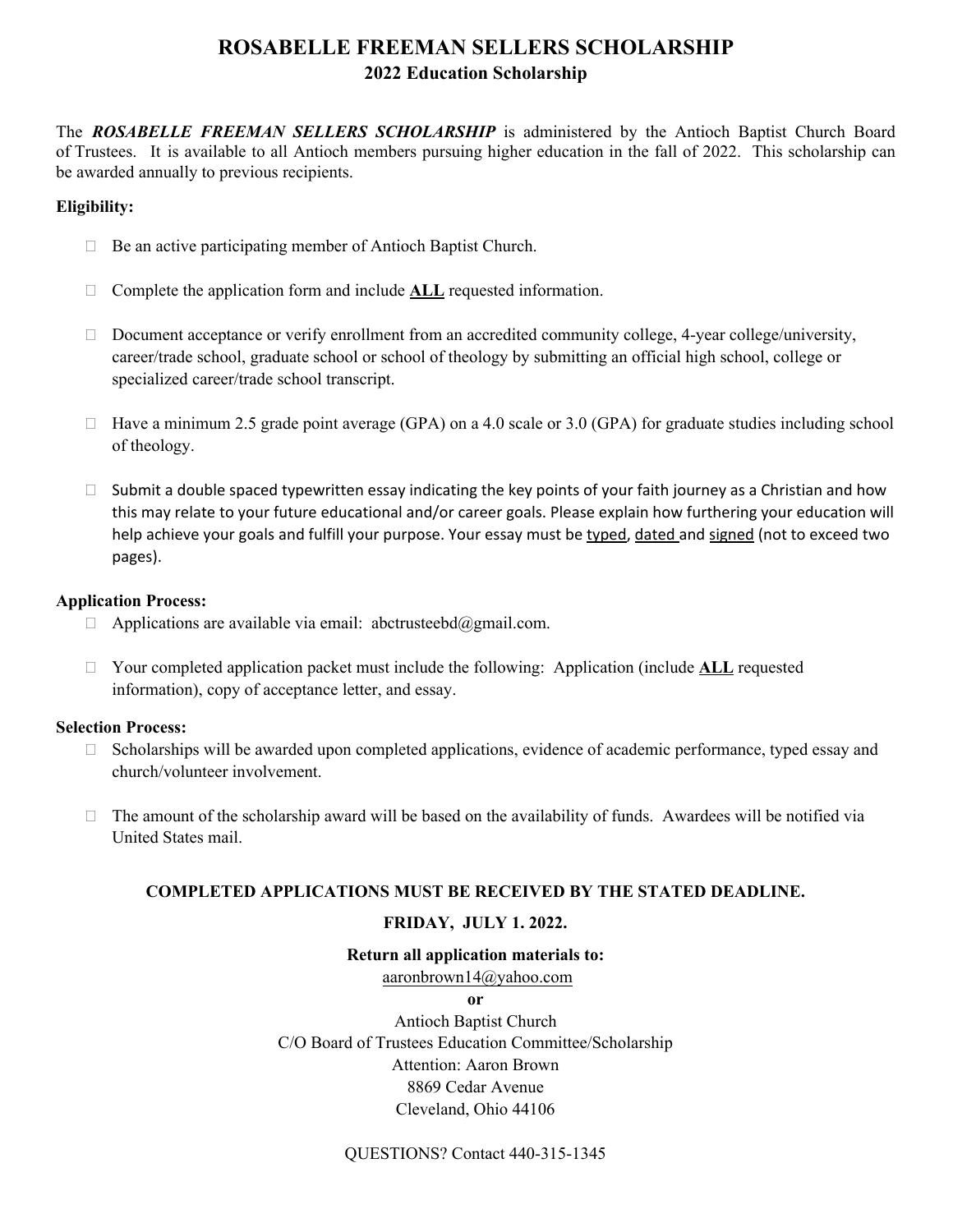## **ROSABELLE FREEMAN SELLERS SCHOLARSHIP 2022 Education Scholarship**

The *ROSABELLE FREEMAN SELLERS SCHOLARSHIP* is administered by the Antioch Baptist Church Board of Trustees. It is available to all Antioch members pursuing higher education in the fall of 2022. This scholarship can be awarded annually to previous recipients.

#### **Eligibility:**

- $\Box$  Be an active participating member of Antioch Baptist Church.
- □ Complete the application form and include **ALL** requested information.
- $\Box$  Document acceptance or verify enrollment from an accredited community college, 4-year college/university, career/trade school, graduate school or school of theology by submitting an official high school, college or specialized career/trade school transcript.
- $\Box$  Have a minimum 2.5 grade point average (GPA) on a 4.0 scale or 3.0 (GPA) for graduate studies including school of theology.
- $\square$  Submit a double spaced typewritten essay indicating the key points of your faith journey as a Christian and how this may relate to your future educational and/or career goals. Please explain how furthering your education will help achieve your goals and fulfill your purpose. Your essay must be typed, dated and signed (not to exceed two pages).

#### **Application Process:**

- $\Box$  Applications are available via email: abctrusteebd@gmail.com.
- □ Your completed application packet must include the following: Application (include **ALL** requested information), copy of acceptance letter, and essay.

#### **Selection Process:**

- $\Box$  Scholarships will be awarded upon completed applications, evidence of academic performance, typed essay and church/volunteer involvement.
- $\Box$  The amount of the scholarship award will be based on the availability of funds. Awardees will be notified via United States mail.

#### **COMPLETED APPLICATIONS MUST BE RECEIVED BY THE STATED DEADLINE.**

### **FRIDAY, JULY 1. 2022.**

#### **Return all application materials to:**

aaronbrown14@yahoo.com

**or** 

Antioch Baptist Church C/O Board of Trustees Education Committee/Scholarship Attention: Aaron Brown 8869 Cedar Avenue Cleveland, Ohio 44106

QUESTIONS? Contact 440-315-1345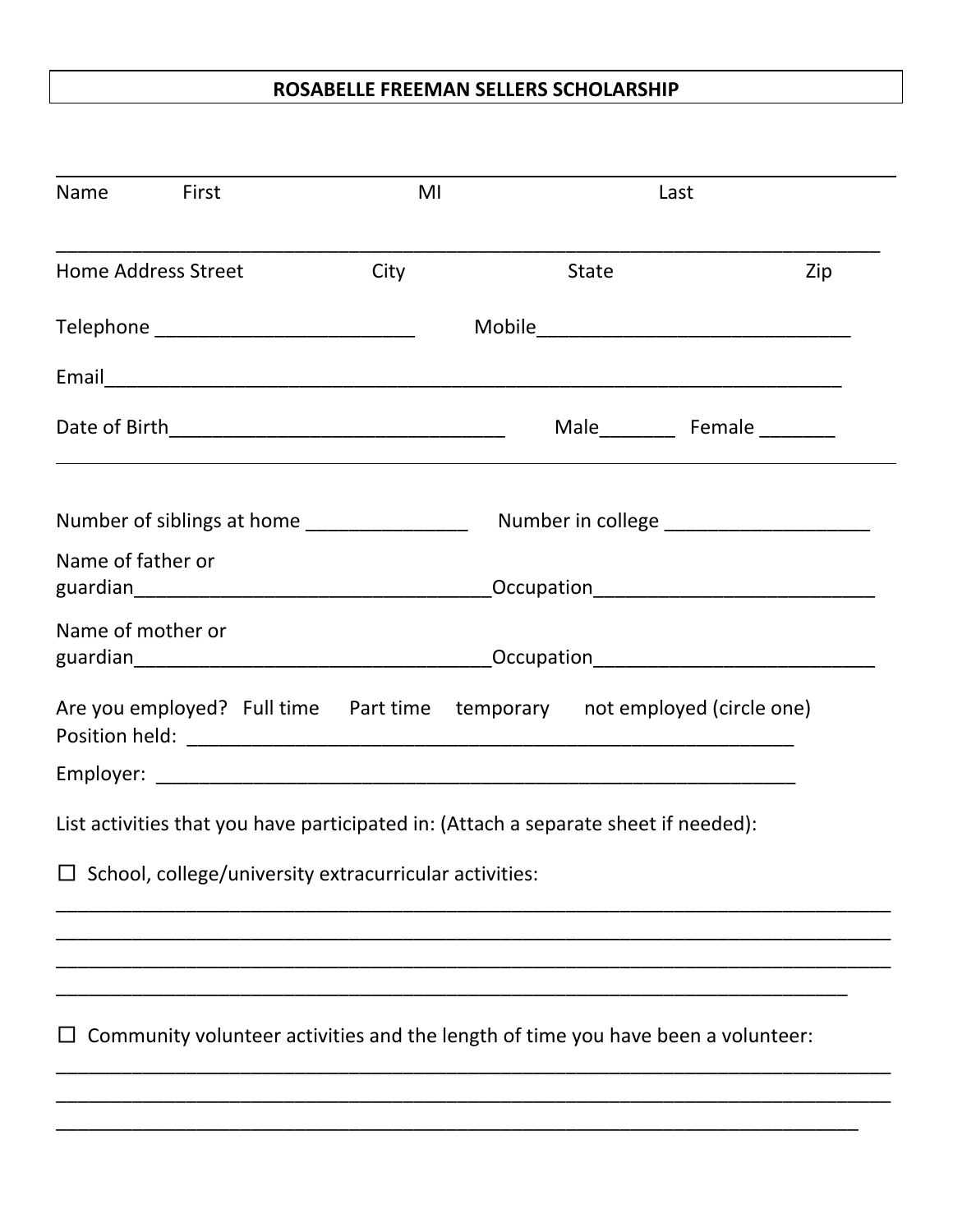## **ROSABELLE FREEMAN SELLERS SCHOLARSHIP**

| Name First                               |                                                                                     | MI   |              | Last                                                                             |     |  |  |
|------------------------------------------|-------------------------------------------------------------------------------------|------|--------------|----------------------------------------------------------------------------------|-----|--|--|
| <b>Home Address Street</b>               |                                                                                     | City | <b>State</b> |                                                                                  | Zip |  |  |
| Telephone ______________________________ |                                                                                     |      |              |                                                                                  |     |  |  |
|                                          |                                                                                     |      |              |                                                                                  |     |  |  |
|                                          |                                                                                     |      |              |                                                                                  |     |  |  |
|                                          |                                                                                     |      |              |                                                                                  |     |  |  |
|                                          | Name of father or                                                                   |      |              |                                                                                  |     |  |  |
|                                          | Name of mother or<br>_Occupation________________________________                    |      |              |                                                                                  |     |  |  |
|                                          |                                                                                     |      |              | Are you employed? Full time  Part time  temporary  not employed (circle one)     |     |  |  |
|                                          |                                                                                     |      |              |                                                                                  |     |  |  |
|                                          | List activities that you have participated in: (Attach a separate sheet if needed): |      |              |                                                                                  |     |  |  |
|                                          | $\Box$ School, college/university extracurricular activities:                       |      |              |                                                                                  |     |  |  |
|                                          |                                                                                     |      |              |                                                                                  |     |  |  |
|                                          |                                                                                     |      |              | Community volunteer activities and the length of time you have been a volunteer: |     |  |  |
|                                          |                                                                                     |      |              |                                                                                  |     |  |  |

\_\_\_\_\_\_\_\_\_\_\_\_\_\_\_\_\_\_\_\_\_\_\_\_\_\_\_\_\_\_\_\_\_\_\_\_\_\_\_\_\_\_\_\_\_\_\_\_\_\_\_\_\_\_\_\_\_\_\_\_\_\_\_\_\_\_\_\_\_\_\_\_\_\_